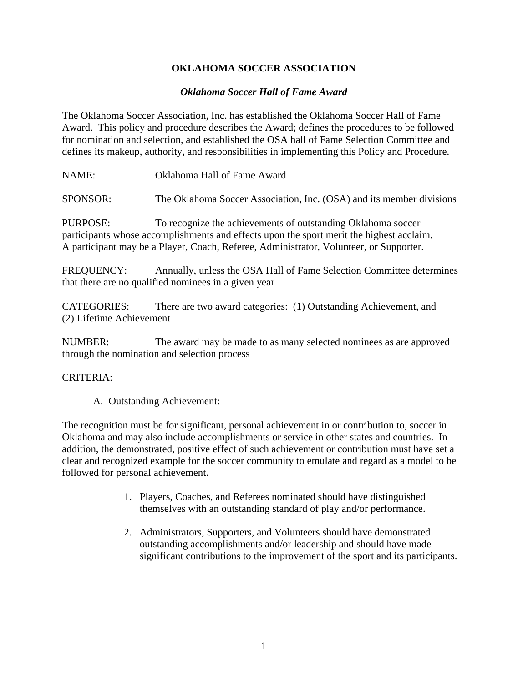# **OKLAHOMA SOCCER ASSOCIATION**

### *Oklahoma Soccer Hall of Fame Award*

The Oklahoma Soccer Association, Inc. has established the Oklahoma Soccer Hall of Fame Award. This policy and procedure describes the Award; defines the procedures to be followed for nomination and selection, and established the OSA hall of Fame Selection Committee and defines its makeup, authority, and responsibilities in implementing this Policy and Procedure.

NAME: Oklahoma Hall of Fame Award

SPONSOR: The Oklahoma Soccer Association, Inc. (OSA) and its member divisions

PURPOSE: To recognize the achievements of outstanding Oklahoma soccer participants whose accomplishments and effects upon the sport merit the highest acclaim. A participant may be a Player, Coach, Referee, Administrator, Volunteer, or Supporter.

FREQUENCY: Annually, unless the OSA Hall of Fame Selection Committee determines that there are no qualified nominees in a given year

CATEGORIES: There are two award categories: (1) Outstanding Achievement, and (2) Lifetime Achievement

NUMBER: The award may be made to as many selected nominees as are approved through the nomination and selection process

#### CRITERIA:

A. Outstanding Achievement:

The recognition must be for significant, personal achievement in or contribution to, soccer in Oklahoma and may also include accomplishments or service in other states and countries. In addition, the demonstrated, positive effect of such achievement or contribution must have set a clear and recognized example for the soccer community to emulate and regard as a model to be followed for personal achievement.

- 1. Players, Coaches, and Referees nominated should have distinguished themselves with an outstanding standard of play and/or performance.
- 2. Administrators, Supporters, and Volunteers should have demonstrated outstanding accomplishments and/or leadership and should have made significant contributions to the improvement of the sport and its participants.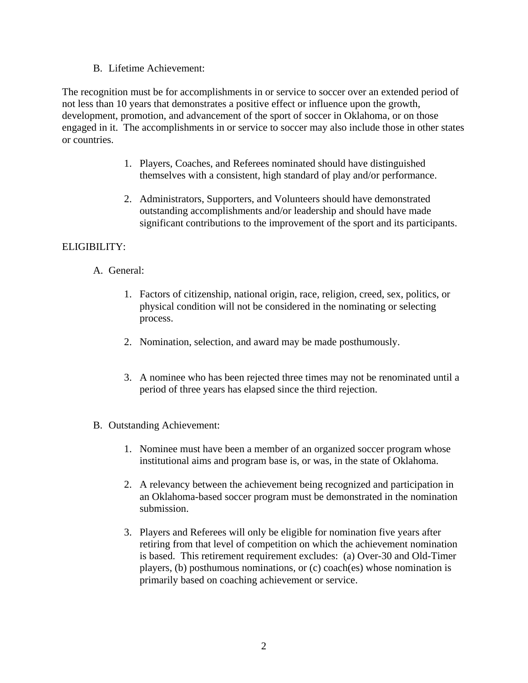B. Lifetime Achievement:

The recognition must be for accomplishments in or service to soccer over an extended period of not less than 10 years that demonstrates a positive effect or influence upon the growth, development, promotion, and advancement of the sport of soccer in Oklahoma, or on those engaged in it. The accomplishments in or service to soccer may also include those in other states or countries.

- 1. Players, Coaches, and Referees nominated should have distinguished themselves with a consistent, high standard of play and/or performance.
- 2. Administrators, Supporters, and Volunteers should have demonstrated outstanding accomplishments and/or leadership and should have made significant contributions to the improvement of the sport and its participants.

# ELIGIBILITY:

- A. General:
	- 1. Factors of citizenship, national origin, race, religion, creed, sex, politics, or physical condition will not be considered in the nominating or selecting process.
	- 2. Nomination, selection, and award may be made posthumously.
	- 3. A nominee who has been rejected three times may not be renominated until a period of three years has elapsed since the third rejection.
- B. Outstanding Achievement:
	- 1. Nominee must have been a member of an organized soccer program whose institutional aims and program base is, or was, in the state of Oklahoma.
	- 2. A relevancy between the achievement being recognized and participation in an Oklahoma-based soccer program must be demonstrated in the nomination submission.
	- 3. Players and Referees will only be eligible for nomination five years after retiring from that level of competition on which the achievement nomination is based. This retirement requirement excludes: (a) Over-30 and Old-Timer players, (b) posthumous nominations, or (c) coach(es) whose nomination is primarily based on coaching achievement or service.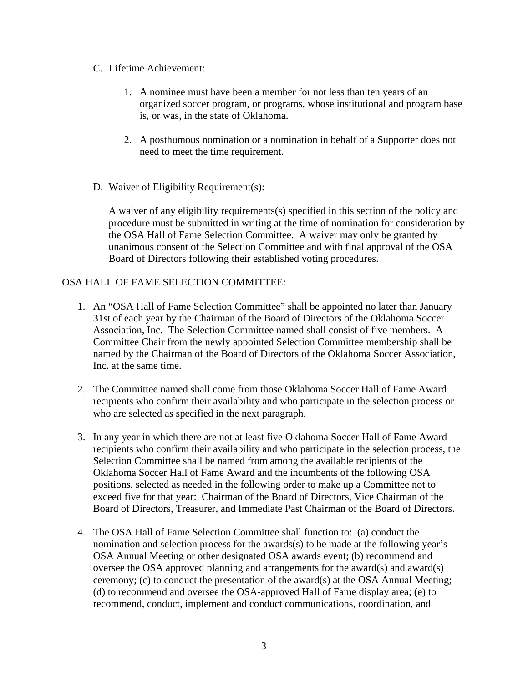#### C. Lifetime Achievement:

- 1. A nominee must have been a member for not less than ten years of an organized soccer program, or programs, whose institutional and program base is, or was, in the state of Oklahoma.
- 2. A posthumous nomination or a nomination in behalf of a Supporter does not need to meet the time requirement.
- D. Waiver of Eligibility Requirement(s):

A waiver of any eligibility requirements(s) specified in this section of the policy and procedure must be submitted in writing at the time of nomination for consideration by the OSA Hall of Fame Selection Committee. A waiver may only be granted by unanimous consent of the Selection Committee and with final approval of the OSA Board of Directors following their established voting procedures.

# OSA HALL OF FAME SELECTION COMMITTEE:

- 1. An "OSA Hall of Fame Selection Committee" shall be appointed no later than January 31st of each year by the Chairman of the Board of Directors of the Oklahoma Soccer Association, Inc. The Selection Committee named shall consist of five members. A Committee Chair from the newly appointed Selection Committee membership shall be named by the Chairman of the Board of Directors of the Oklahoma Soccer Association, Inc. at the same time.
- 2. The Committee named shall come from those Oklahoma Soccer Hall of Fame Award recipients who confirm their availability and who participate in the selection process or who are selected as specified in the next paragraph.
- 3. In any year in which there are not at least five Oklahoma Soccer Hall of Fame Award recipients who confirm their availability and who participate in the selection process, the Selection Committee shall be named from among the available recipients of the Oklahoma Soccer Hall of Fame Award and the incumbents of the following OSA positions, selected as needed in the following order to make up a Committee not to exceed five for that year: Chairman of the Board of Directors, Vice Chairman of the Board of Directors, Treasurer, and Immediate Past Chairman of the Board of Directors.
- 4. The OSA Hall of Fame Selection Committee shall function to: (a) conduct the nomination and selection process for the awards(s) to be made at the following year's OSA Annual Meeting or other designated OSA awards event; (b) recommend and oversee the OSA approved planning and arrangements for the award(s) and award(s) ceremony; (c) to conduct the presentation of the award(s) at the OSA Annual Meeting; (d) to recommend and oversee the OSA-approved Hall of Fame display area; (e) to recommend, conduct, implement and conduct communications, coordination, and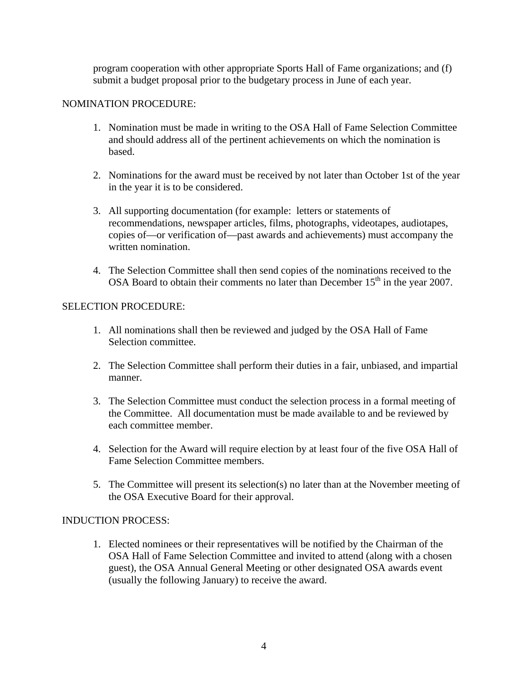program cooperation with other appropriate Sports Hall of Fame organizations; and (f) submit a budget proposal prior to the budgetary process in June of each year.

### NOMINATION PROCEDURE:

- 1. Nomination must be made in writing to the OSA Hall of Fame Selection Committee and should address all of the pertinent achievements on which the nomination is based.
- 2. Nominations for the award must be received by not later than October 1st of the year in the year it is to be considered.
- 3. All supporting documentation (for example: letters or statements of recommendations, newspaper articles, films, photographs, videotapes, audiotapes, copies of—or verification of—past awards and achievements) must accompany the written nomination.
- 4. The Selection Committee shall then send copies of the nominations received to the OSA Board to obtain their comments no later than December  $15<sup>th</sup>$  in the year 2007.

### SELECTION PROCEDURE:

- 1. All nominations shall then be reviewed and judged by the OSA Hall of Fame Selection committee.
- 2. The Selection Committee shall perform their duties in a fair, unbiased, and impartial manner.
- 3. The Selection Committee must conduct the selection process in a formal meeting of the Committee. All documentation must be made available to and be reviewed by each committee member.
- 4. Selection for the Award will require election by at least four of the five OSA Hall of Fame Selection Committee members.
- 5. The Committee will present its selection(s) no later than at the November meeting of the OSA Executive Board for their approval.

#### INDUCTION PROCESS:

1. Elected nominees or their representatives will be notified by the Chairman of the OSA Hall of Fame Selection Committee and invited to attend (along with a chosen guest), the OSA Annual General Meeting or other designated OSA awards event (usually the following January) to receive the award.